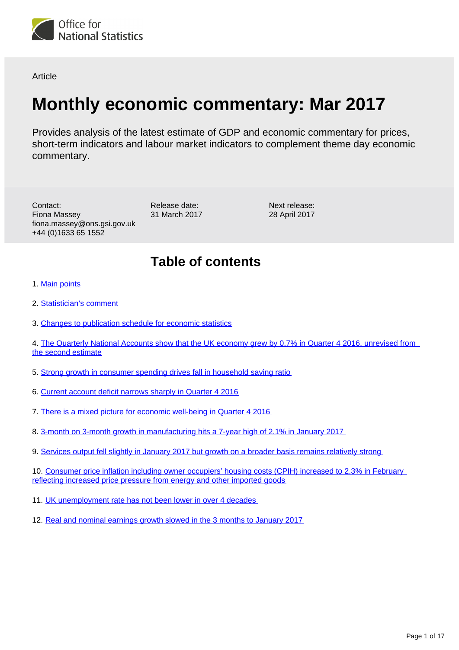

**Article** 

# **Monthly economic commentary: Mar 2017**

Provides analysis of the latest estimate of GDP and economic commentary for prices, short-term indicators and labour market indicators to complement theme day economic commentary.

Contact: Fiona Massey fiona.massey@ons.gsi.gov.uk +44 (0)1633 65 1552

Release date: 31 March 2017 Next release: 28 April 2017

## **Table of contents**

- 1. [Main points](#page-1-0)
- 2. [Statistician's comment](#page-1-1)
- 3. [Changes to publication schedule for economic statistics](#page-2-0)
- 4. The Quarterly National Accounts show that the UK economy grew by 0.7% in Quarter 4 2016, unrevised from [the second estimate](#page-2-1)
- 5. [Strong growth in consumer spending drives fall in household saving ratio](#page-5-0)
- 6. [Current account deficit narrows sharply in Quarter 4 2016](#page-7-0)
- 7. [There is a mixed picture for economic well-being in Quarter 4 2016](#page-8-0)
- 8. [3-month on 3-month growth in manufacturing hits a 7-year high of 2.1% in January 2017](#page-9-0)
- 9. [Services output fell slightly in January 2017 but growth on a broader basis remains relatively strong](#page-10-0)

10. Consumer price inflation including owner occupiers' housing costs (CPIH) increased to 2.3% in February [reflecting increased price pressure from energy and other imported goods](#page-11-0)

- 11. [UK unemployment rate has not been lower in over 4 decades](#page-12-0)
- 12. [Real and nominal earnings growth slowed in the 3 months to January 2017](#page-13-0)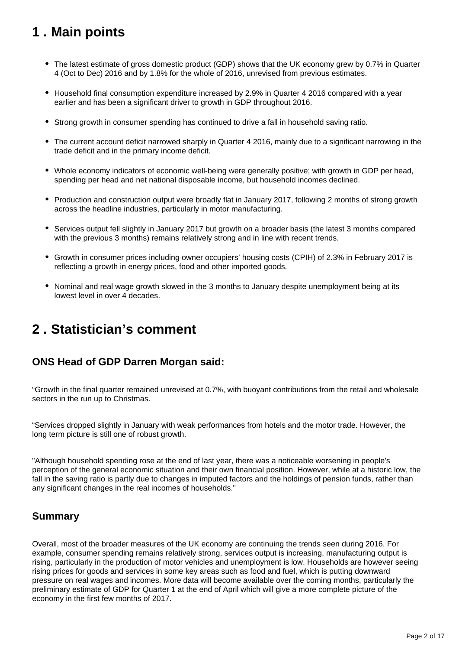## <span id="page-1-0"></span>**1 . Main points**

- The latest estimate of gross domestic product (GDP) shows that the UK economy grew by 0.7% in Quarter 4 (Oct to Dec) 2016 and by 1.8% for the whole of 2016, unrevised from previous estimates.
- Household final consumption expenditure increased by 2.9% in Quarter 4 2016 compared with a year earlier and has been a significant driver to growth in GDP throughout 2016.
- Strong growth in consumer spending has continued to drive a fall in household saving ratio.
- The current account deficit narrowed sharply in Quarter 4 2016, mainly due to a significant narrowing in the trade deficit and in the primary income deficit.
- Whole economy indicators of economic well-being were generally positive; with growth in GDP per head, spending per head and net national disposable income, but household incomes declined.
- Production and construction output were broadly flat in January 2017, following 2 months of strong growth across the headline industries, particularly in motor manufacturing.
- Services output fell slightly in January 2017 but growth on a broader basis (the latest 3 months compared with the previous 3 months) remains relatively strong and in line with recent trends.
- Growth in consumer prices including owner occupiers' housing costs (CPIH) of 2.3% in February 2017 is reflecting a growth in energy prices, food and other imported goods.
- Nominal and real wage growth slowed in the 3 months to January despite unemployment being at its lowest level in over 4 decades.

### <span id="page-1-1"></span>**2 . Statistician's comment**

### **ONS Head of GDP Darren Morgan said:**

"Growth in the final quarter remained unrevised at 0.7%, with buoyant contributions from the retail and wholesale sectors in the run up to Christmas.

"Services dropped slightly in January with weak performances from hotels and the motor trade. However, the long term picture is still one of robust growth.

"Although household spending rose at the end of last year, there was a noticeable worsening in people's perception of the general economic situation and their own financial position. However, while at a historic low, the fall in the saving ratio is partly due to changes in imputed factors and the holdings of pension funds, rather than any significant changes in the real incomes of households."

### **Summary**

Overall, most of the broader measures of the UK economy are continuing the trends seen during 2016. For example, consumer spending remains relatively strong, services output is increasing, manufacturing output is rising, particularly in the production of motor vehicles and unemployment is low. Households are however seeing rising prices for goods and services in some key areas such as food and fuel, which is putting downward pressure on real wages and incomes. More data will become available over the coming months, particularly the preliminary estimate of GDP for Quarter 1 at the end of April which will give a more complete picture of the economy in the first few months of 2017.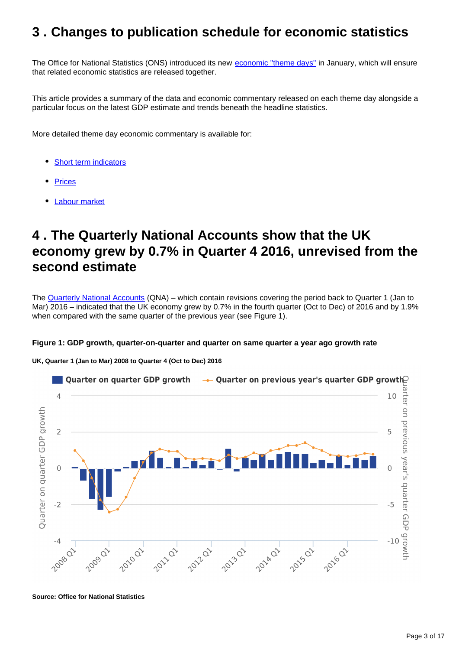### <span id="page-2-0"></span>**3 . Changes to publication schedule for economic statistics**

The Office for National Statistics (ONS) introduced its new [economic "theme days"](https://www.ons.gov.uk/news/news/operationalnotechangestopublicationscheduleforeconomicstatistics) in January, which will ensure that related economic statistics are released together.

This article provides a summary of the data and economic commentary released on each theme day alongside a particular focus on the latest GDP estimate and trends beneath the headline statistics.

More detailed theme day economic commentary is available for:

- [Short term indicators](https://www.ons.gov.uk/releases/shorttermindicatorseconomiccommentarymar2017)
- **[Prices](https://www.ons.gov.uk/releases/priceseconomiccommentarymar2017)**
- [Labour market](https://www.ons.gov.uk/releases/labourmarketeconomiccommentarymar2017)

### <span id="page-2-1"></span>**4 . The Quarterly National Accounts show that the UK economy grew by 0.7% in Quarter 4 2016, unrevised from the second estimate**

The [Quarterly National Accounts](https://www.ons.gov.uk/releases/ukquarterlynationalaccountsocttodec2016) (QNA) – which contain revisions covering the period back to Quarter 1 (Jan to Mar) 2016 – indicated that the UK economy grew by 0.7% in the fourth quarter (Oct to Dec) of 2016 and by 1.9% when compared with the same quarter of the previous year (see Figure 1).

#### **Figure 1: GDP growth, quarter-on-quarter and quarter on same quarter a year ago growth rate**

**UK, Quarter 1 (Jan to Mar) 2008 to Quarter 4 (Oct to Dec) 2016**



**Source: Office for National Statistics**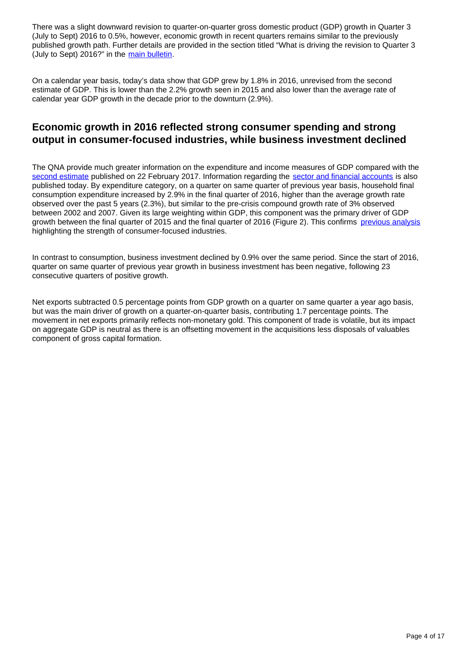There was a slight downward revision to quarter-on-quarter gross domestic product (GDP) growth in Quarter 3 (July to Sept) 2016 to 0.5%, however, economic growth in recent quarters remains similar to the previously published growth path. Further details are provided in the section titled "What is driving the revision to Quarter 3 (July to Sept) 2016?" in the [main bulletin](https://www.ons.gov.uk/releases/ukquarterlynationalaccountsocttodec2016).

On a calendar year basis, today's data show that GDP grew by 1.8% in 2016, unrevised from the second estimate of GDP. This is lower than the 2.2% growth seen in 2015 and also lower than the average rate of calendar year GDP growth in the decade prior to the downturn (2.9%).

### **Economic growth in 2016 reflected strong consumer spending and strong output in consumer-focused industries, while business investment declined**

The QNA provide much greater information on the expenditure and income measures of GDP compared with the [second estimate](https://www.ons.gov.uk/economy/grossdomesticproductgdp/bulletins/secondestimateofgdp/quarter4octtodec2016) published on 22 February 2017. Information regarding the [sector and financial accounts](https://www.ons.gov.uk/releases/ukquarterlysectoraccountsocttodec2016) is also published today. By expenditure category, on a quarter on same quarter of previous year basis, household final consumption expenditure increased by 2.9% in the final quarter of 2016, higher than the average growth rate observed over the past 5 years (2.3%), but similar to the pre-crisis compound growth rate of 3% observed between 2002 and 2007. Given its large weighting within GDP, this component was the primary driver of GDP growth between the final quarter of 2015 and the final quarter of 2016 (Figure 2). This confirms [previous analysis](https://www.ons.gov.uk/economy/nationalaccounts/uksectoraccounts/articles/economicreview/dec2016#second-estimate-of-gross-domestic-product-for-quarter-3-2016) highlighting the strength of consumer-focused industries.

In contrast to consumption, business investment declined by 0.9% over the same period. Since the start of 2016, quarter on same quarter of previous year growth in business investment has been negative, following 23 consecutive quarters of positive growth.

Net exports subtracted 0.5 percentage points from GDP growth on a quarter on same quarter a year ago basis, but was the main driver of growth on a quarter-on-quarter basis, contributing 1.7 percentage points. The movement in net exports primarily reflects non-monetary gold. This component of trade is volatile, but its impact on aggregate GDP is neutral as there is an offsetting movement in the acquisitions less disposals of valuables component of gross capital formation.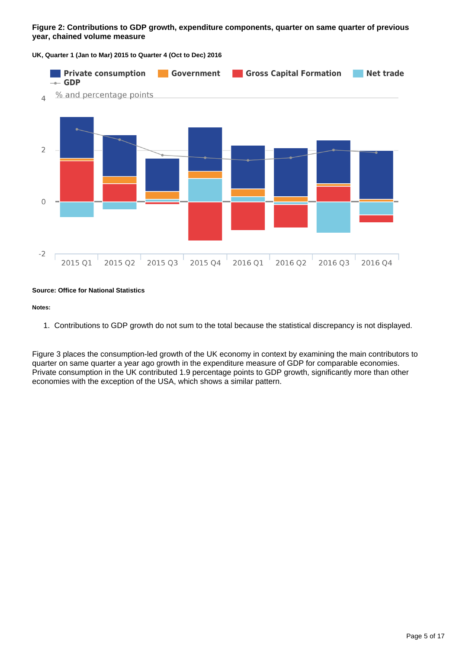#### **Figure 2: Contributions to GDP growth, expenditure components, quarter on same quarter of previous year, chained volume measure**

**UK, Quarter 1 (Jan to Mar) 2015 to Quarter 4 (Oct to Dec) 2016**



#### **Source: Office for National Statistics**

#### **Notes:**

1. Contributions to GDP growth do not sum to the total because the statistical discrepancy is not displayed.

Figure 3 places the consumption-led growth of the UK economy in context by examining the main contributors to quarter on same quarter a year ago growth in the expenditure measure of GDP for comparable economies. Private consumption in the UK contributed 1.9 percentage points to GDP growth, significantly more than other economies with the exception of the USA, which shows a similar pattern.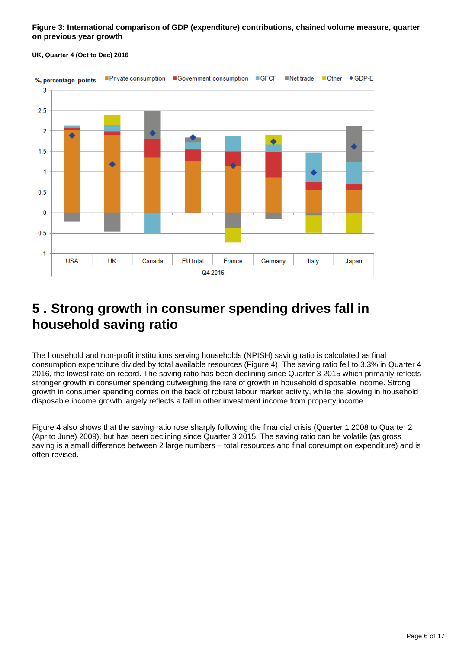**Figure 3: International comparison of GDP (expenditure) contributions, chained volume measure, quarter on previous year growth**



#### **UK, Quarter 4 (Oct to Dec) 2016**

### <span id="page-5-0"></span>**5 . Strong growth in consumer spending drives fall in household saving ratio**

The household and non-profit institutions serving households (NPISH) saving ratio is calculated as final consumption expenditure divided by total available resources (Figure 4). The saving ratio fell to 3.3% in Quarter 4 2016, the lowest rate on record. The saving ratio has been declining since Quarter 3 2015 which primarily reflects stronger growth in consumer spending outweighing the rate of growth in household disposable income. Strong growth in consumer spending comes on the back of robust labour market activity, while the slowing in household disposable income growth largely reflects a fall in other investment income from property income.

Figure 4 also shows that the saving ratio rose sharply following the financial crisis (Quarter 1 2008 to Quarter 2 (Apr to June) 2009), but has been declining since Quarter 3 2015. The saving ratio can be volatile (as gross saving is a small difference between 2 large numbers – total resources and final consumption expenditure) and is often revised.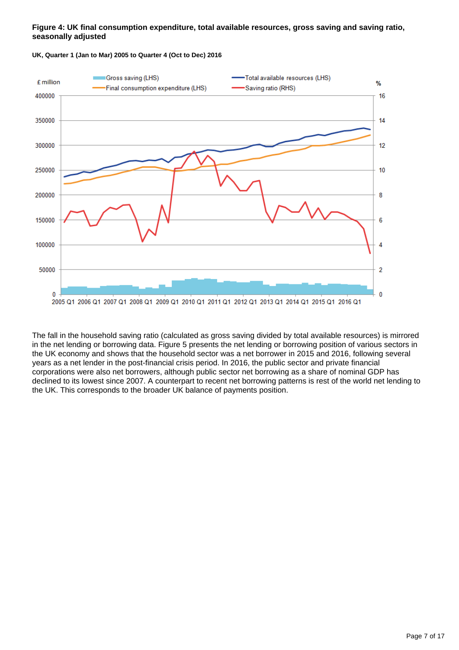#### **Figure 4: UK final consumption expenditure, total available resources, gross saving and saving ratio, seasonally adjusted**



**UK, Quarter 1 (Jan to Mar) 2005 to Quarter 4 (Oct to Dec) 2016**

The fall in the household saving ratio (calculated as gross saving divided by total available resources) is mirrored in the net lending or borrowing data. Figure 5 presents the net lending or borrowing position of various sectors in the UK economy and shows that the household sector was a net borrower in 2015 and 2016, following several years as a net lender in the post-financial crisis period. In 2016, the public sector and private financial corporations were also net borrowers, although public sector net borrowing as a share of nominal GDP has declined to its lowest since 2007. A counterpart to recent net borrowing patterns is rest of the world net lending to the UK. This corresponds to the broader UK balance of payments position.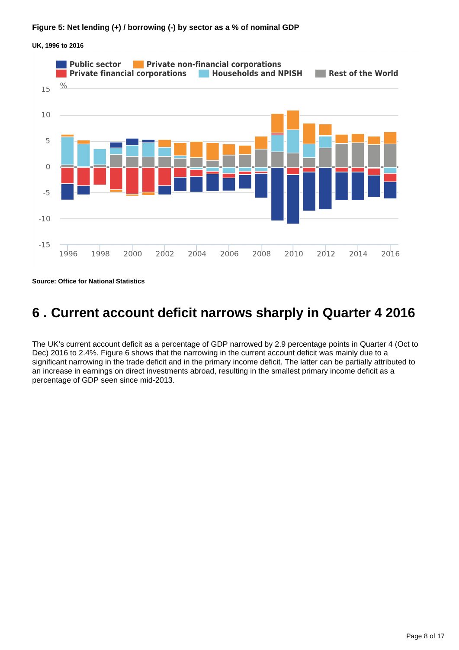

**UK, 1996 to 2016**

**Source: Office for National Statistics**

## <span id="page-7-0"></span>**6 . Current account deficit narrows sharply in Quarter 4 2016**

The UK's current account deficit as a percentage of GDP narrowed by 2.9 percentage points in Quarter 4 (Oct to Dec) 2016 to 2.4%. Figure 6 shows that the narrowing in the current account deficit was mainly due to a significant narrowing in the trade deficit and in the primary income deficit. The latter can be partially attributed to an increase in earnings on direct investments abroad, resulting in the smallest primary income deficit as a percentage of GDP seen since mid-2013.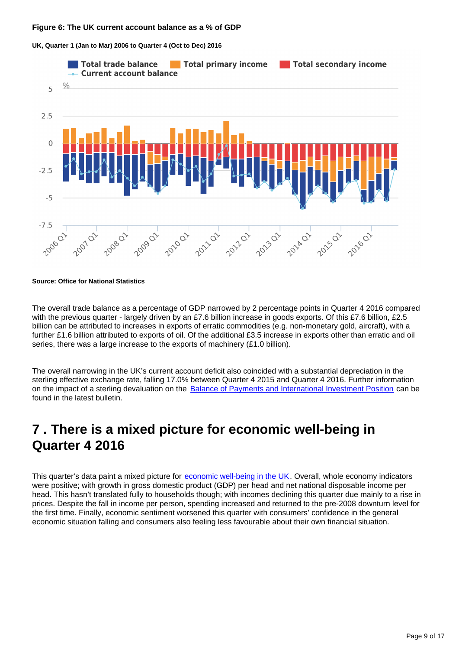#### **Figure 6: The UK current account balance as a % of GDP**





**Source: Office for National Statistics**

The overall trade balance as a percentage of GDP narrowed by 2 percentage points in Quarter 4 2016 compared with the previous quarter - largely driven by an £7.6 billion increase in goods exports. Of this £7.6 billion, £2.5 billion can be attributed to increases in exports of erratic commodities (e.g. non-monetary gold, aircraft), with a further £1.6 billion attributed to exports of oil. Of the additional £3.5 increase in exports other than erratic and oil series, there was a large increase to the exports of machinery (£1.0 billion).

The overall narrowing in the UK's current account deficit also coincided with a substantial depreciation in the sterling effective exchange rate, falling 17.0% between Quarter 4 2015 and Quarter 4 2016. Further information on the impact of a sterling devaluation on the [Balance of Payments and International Investment Position](https://www.ons.gov.uk/releases/balanceofpaymentsfortheukocttodecandannual2016) can be found in the latest bulletin.

### <span id="page-8-0"></span>**7 . There is a mixed picture for economic well-being in Quarter 4 2016**

This quarter's data paint a mixed picture for [economic well-being in the UK](https://www.ons.gov.uk/peoplepopulationandcommunity/personalandhouseholdfinances/incomeandwealth/bulletins/economicwellbeing/quarter4octtodec2016). Overall, whole economy indicators were positive; with growth in gross domestic product (GDP) per head and net national disposable income per head. This hasn't translated fully to households though; with incomes declining this quarter due mainly to a rise in prices. Despite the fall in income per person, spending increased and returned to the pre-2008 downturn level for the first time. Finally, economic sentiment worsened this quarter with consumers' confidence in the general economic situation falling and consumers also feeling less favourable about their own financial situation.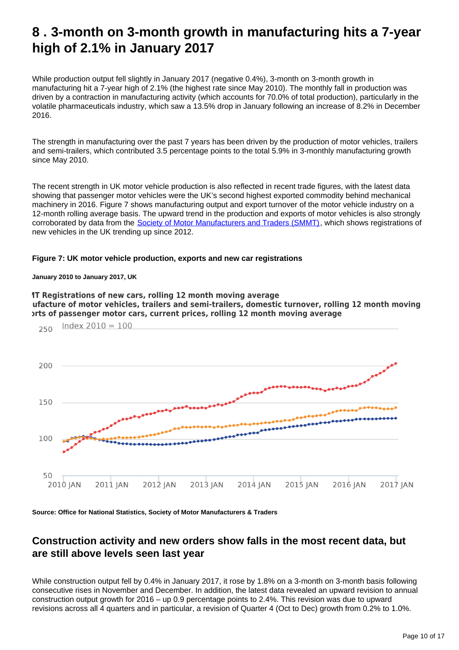### <span id="page-9-0"></span>**8 . 3-month on 3-month growth in manufacturing hits a 7-year high of 2.1% in January 2017**

While production output fell slightly in January 2017 (negative 0.4%), 3-month on 3-month growth in manufacturing hit a 7-year high of 2.1% (the highest rate since May 2010). The monthly fall in production was driven by a contraction in manufacturing activity (which accounts for 70.0% of total production), particularly in the volatile pharmaceuticals industry, which saw a 13.5% drop in January following an increase of 8.2% in December 2016.

The strength in manufacturing over the past 7 years has been driven by the production of motor vehicles, trailers and semi-trailers, which contributed 3.5 percentage points to the total 5.9% in 3-monthly manufacturing growth since May 2010.

The recent strength in UK motor vehicle production is also reflected in recent trade figures, with the latest data showing that passenger motor vehicles were the UK's second highest exported commodity behind mechanical machinery in 2016. Figure 7 shows manufacturing output and export turnover of the motor vehicle industry on a 12-month rolling average basis. The upward trend in the production and exports of motor vehicles is also strongly corroborated by data from the [Society of Motor Manufacturers and Traders \(SMMT\)](https://www.smmt.co.uk/vehicle-data/car-registrations/), which shows registrations of new vehicles in the UK trending up since 2012.

#### **Figure 7: UK motor vehicle production, exports and new car registrations**

#### **January 2010 to January 2017, UK**

1T Registrations of new cars, rolling 12 month moving average ufacture of motor vehicles, trailers and semi-trailers, domestic turnover, rolling 12 month moving orts of passenger motor cars, current prices, rolling 12 month moving average



**Source: Office for National Statistics, Society of Motor Manufacturers & Traders**

### **Construction activity and new orders show falls in the most recent data, but are still above levels seen last year**

While construction output fell by 0.4% in January 2017, it rose by 1.8% on a 3-month on 3-month basis following consecutive rises in November and December. In addition, the latest data revealed an upward revision to annual construction output growth for 2016 – up 0.9 percentage points to 2.4%. This revision was due to upward revisions across all 4 quarters and in particular, a revision of Quarter 4 (Oct to Dec) growth from 0.2% to 1.0%.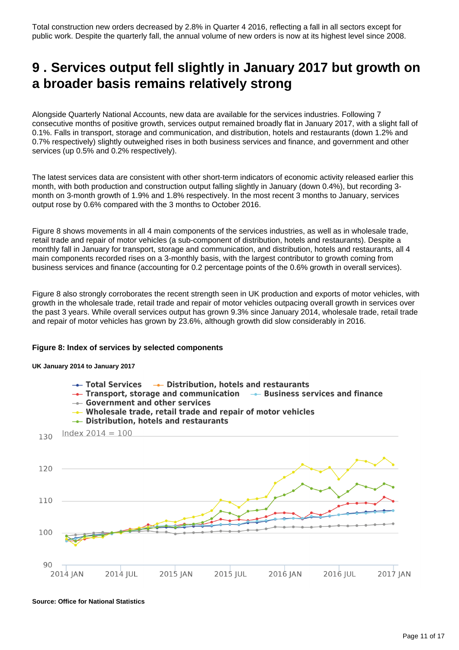Total construction new orders decreased by 2.8% in Quarter 4 2016, reflecting a fall in all sectors except for public work. Despite the quarterly fall, the annual volume of new orders is now at its highest level since 2008.

### <span id="page-10-0"></span>**9 . Services output fell slightly in January 2017 but growth on a broader basis remains relatively strong**

Alongside Quarterly National Accounts, new data are available for the services industries. Following 7 consecutive months of positive growth, services output remained broadly flat in January 2017, with a slight fall of 0.1%. Falls in transport, storage and communication, and distribution, hotels and restaurants (down 1.2% and 0.7% respectively) slightly outweighed rises in both business services and finance, and government and other services (up 0.5% and 0.2% respectively).

The latest services data are consistent with other short-term indicators of economic activity released earlier this month, with both production and construction output falling slightly in January (down 0.4%), but recording 3 month on 3-month growth of 1.9% and 1.8% respectively. In the most recent 3 months to January, services output rose by 0.6% compared with the 3 months to October 2016.

Figure 8 shows movements in all 4 main components of the services industries, as well as in wholesale trade, retail trade and repair of motor vehicles (a sub-component of distribution, hotels and restaurants). Despite a monthly fall in January for transport, storage and communication, and distribution, hotels and restaurants, all 4 main components recorded rises on a 3-monthly basis, with the largest contributor to growth coming from business services and finance (accounting for 0.2 percentage points of the 0.6% growth in overall services).

Figure 8 also strongly corroborates the recent strength seen in UK production and exports of motor vehicles, with growth in the wholesale trade, retail trade and repair of motor vehicles outpacing overall growth in services over the past 3 years. While overall services output has grown 9.3% since January 2014, wholesale trade, retail trade and repair of motor vehicles has grown by 23.6%, although growth did slow considerably in 2016.

#### **Figure 8: Index of services by selected components**

**UK January 2014 to January 2017**



**Source: Office for National Statistics**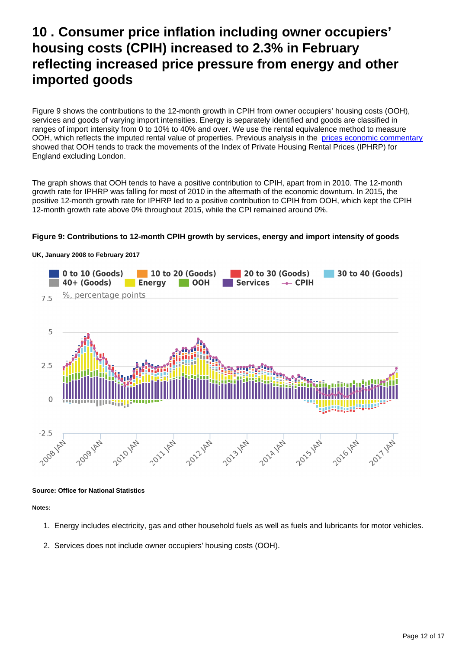## <span id="page-11-0"></span>**10 . Consumer price inflation including owner occupiers' housing costs (CPIH) increased to 2.3% in February reflecting increased price pressure from energy and other imported goods**

Figure 9 shows the contributions to the 12-month growth in CPIH from owner occupiers' housing costs (OOH), services and goods of varying import intensities. Energy is separately identified and goods are classified in ranges of import intensity from 0 to 10% to 40% and over. We use the rental equivalence method to measure OOH, which reflects the imputed rental value of properties. Previous analysis in the [prices economic commentary](https://www.ons.gov.uk/releases/priceseconomiccommentarymar2017) showed that OOH tends to track the movements of the Index of Private Housing Rental Prices (IPHRP) for England excluding London.

The graph shows that OOH tends to have a positive contribution to CPIH, apart from in 2010. The 12-month growth rate for IPHRP was falling for most of 2010 in the aftermath of the economic downturn. In 2015, the positive 12-month growth rate for IPHRP led to a positive contribution to CPIH from OOH, which kept the CPIH 12-month growth rate above 0% throughout 2015, while the CPI remained around 0%.

#### **Figure 9: Contributions to 12-month CPIH growth by services, energy and import intensity of goods**



#### **UK, January 2008 to February 2017**

#### **Source: Office for National Statistics**

**Notes:**

- 1. Energy includes electricity, gas and other household fuels as well as fuels and lubricants for motor vehicles.
- 2. Services does not include owner occupiers' housing costs (OOH).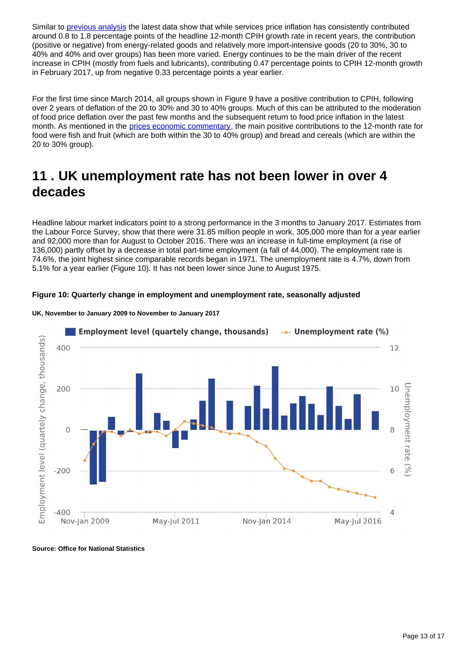Similar to [previous analysis](https://www.ons.gov.uk/releases/monthlyeconomiccommentaryjan2017) the latest data show that while services price inflation has consistently contributed around 0.8 to 1.8 percentage points of the headline 12-month CPIH growth rate in recent years, the contribution (positive or negative) from energy-related goods and relatively more import-intensive goods (20 to 30%, 30 to 40% and 40% and over groups) has been more varied. Energy continues to be the main driver of the recent increase in CPIH (mostly from fuels and lubricants), contributing 0.47 percentage points to CPIH 12-month growth in February 2017, up from negative 0.33 percentage points a year earlier.

For the first time since March 2014, all groups shown in Figure 9 have a positive contribution to CPIH, following over 2 years of deflation of the 20 to 30% and 30 to 40% groups. Much of this can be attributed to the moderation of food price deflation over the past few months and the subsequent return to food price inflation in the latest month. As mentioned in the [prices economic commentary,](https://www.ons.gov.uk/releases/priceseconomiccommentarymar2017) the main positive contributions to the 12-month rate for food were fish and fruit (which are both within the 30 to 40% group) and bread and cereals (which are within the 20 to 30% group).

## <span id="page-12-0"></span>**11 . UK unemployment rate has not been lower in over 4 decades**

Headline labour market indicators point to a strong performance in the 3 months to January 2017. Estimates from the Labour Force Survey, show that there were 31.85 million people in work, 305,000 more than for a year earlier and 92,000 more than for August to October 2016. There was an increase in full-time employment (a rise of 136,000) partly offset by a decrease in total part-time employment (a fall of 44,000). The employment rate is 74.6%, the joint highest since comparable records began in 1971. The unemployment rate is 4.7%, down from 5.1% for a year earlier (Figure 10). It has not been lower since June to August 1975.

#### **Figure 10: Quarterly change in employment and unemployment rate, seasonally adjusted**



#### **UK, November to January 2009 to November to January 2017**

**Source: Office for National Statistics**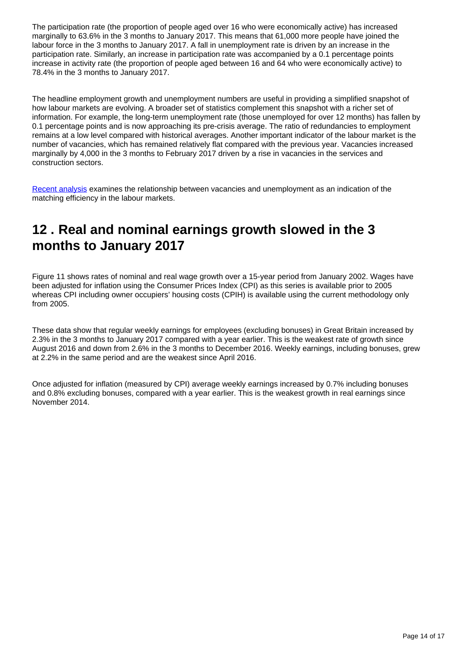The participation rate (the proportion of people aged over 16 who were economically active) has increased marginally to 63.6% in the 3 months to January 2017. This means that 61,000 more people have joined the labour force in the 3 months to January 2017. A fall in unemployment rate is driven by an increase in the participation rate. Similarly, an increase in participation rate was accompanied by a 0.1 percentage points increase in activity rate (the proportion of people aged between 16 and 64 who were economically active) to 78.4% in the 3 months to January 2017.

The headline employment growth and unemployment numbers are useful in providing a simplified snapshot of how labour markets are evolving. A broader set of statistics complement this snapshot with a richer set of information. For example, the long-term unemployment rate (those unemployed for over 12 months) has fallen by 0.1 percentage points and is now approaching its pre-crisis average. The ratio of redundancies to employment remains at a low level compared with historical averages. Another important indicator of the labour market is the number of vacancies, which has remained relatively flat compared with the previous year. Vacancies increased marginally by 4,000 in the 3 months to February 2017 driven by a rise in vacancies in the services and construction sectors.

[Recent analysis](https://www.ons.gov.uk/employmentandlabourmarket/peopleinwork/employmentandemployeetypes/articles/labourmarketeconomiccommentary/march2017) examines the relationship between vacancies and unemployment as an indication of the matching efficiency in the labour markets.

## <span id="page-13-0"></span>**12 . Real and nominal earnings growth slowed in the 3 months to January 2017**

Figure 11 shows rates of nominal and real wage growth over a 15-year period from January 2002. Wages have been adjusted for inflation using the Consumer Prices Index (CPI) as this series is available prior to 2005 whereas CPI including owner occupiers' housing costs (CPIH) is available using the current methodology only from 2005.

These data show that regular weekly earnings for employees (excluding bonuses) in Great Britain increased by 2.3% in the 3 months to January 2017 compared with a year earlier. This is the weakest rate of growth since August 2016 and down from 2.6% in the 3 months to December 2016. Weekly earnings, including bonuses, grew at 2.2% in the same period and are the weakest since April 2016.

Once adjusted for inflation (measured by CPI) average weekly earnings increased by 0.7% including bonuses and 0.8% excluding bonuses, compared with a year earlier. This is the weakest growth in real earnings since November 2014.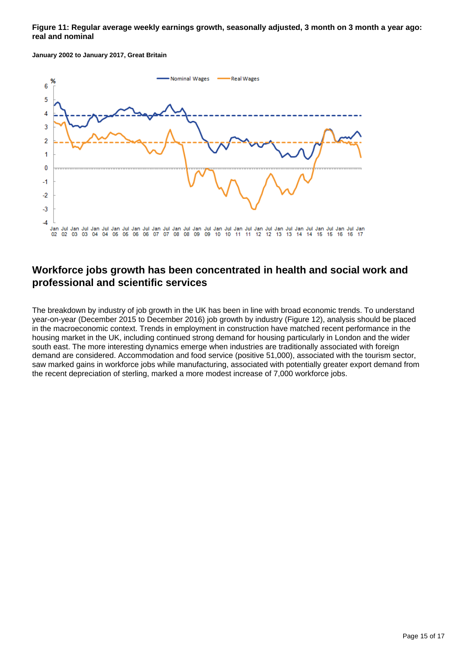#### **Figure 11: Regular average weekly earnings growth, seasonally adjusted, 3 month on 3 month a year ago: real and nominal**

**January 2002 to January 2017, Great Britain**



### **Workforce jobs growth has been concentrated in health and social work and professional and scientific services**

The breakdown by industry of job growth in the UK has been in line with broad economic trends. To understand year-on-year (December 2015 to December 2016) job growth by industry (Figure 12), analysis should be placed in the macroeconomic context. Trends in employment in construction have matched recent performance in the housing market in the UK, including continued strong demand for housing particularly in London and the wider south east. The more interesting dynamics emerge when industries are traditionally associated with foreign demand are considered. Accommodation and food service (positive 51,000), associated with the tourism sector, saw marked gains in workforce jobs while manufacturing, associated with potentially greater export demand from the recent depreciation of sterling, marked a more modest increase of 7,000 workforce jobs.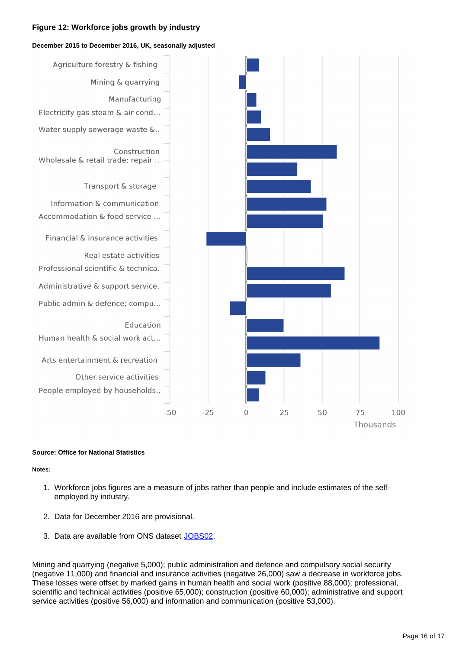#### **Figure 12: Workforce jobs growth by industry**

#### **December 2015 to December 2016, UK, seasonally adjusted**



#### **Source: Office for National Statistics**

#### **Notes:**

- 1. Workforce jobs figures are a measure of jobs rather than people and include estimates of the selfemployed by industry.
- 2. Data for December 2016 are provisional.
- 3. Data are available from ONS dataset [JOBS02](https://www.ons.gov.uk/employmentandlabourmarket/peopleinwork/employmentandemployeetypes/datasets/workforcejobsbyindustryjobs02).

Mining and quarrying (negative 5,000); public administration and defence and compulsory social security (negative 11,000) and financial and insurance activities (negative 26,000) saw a decrease in workforce jobs. These losses were offset by marked gains in human health and social work (positive 88,000); professional, scientific and technical activities (positive 65,000); construction (positive 60,000); administrative and support service activities (positive 56,000) and information and communication (positive 53,000).